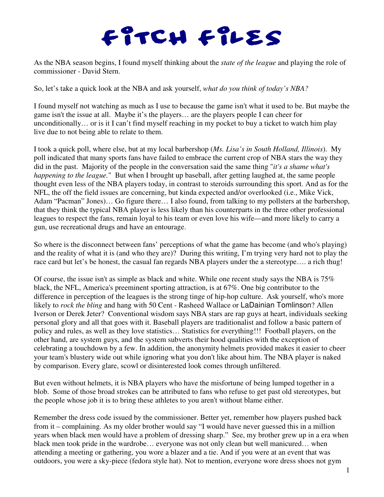

As the NBA season begins, I found myself thinking about the *state of the league* and playing the role of commissioner - David Stern.

So, let's take a quick look at the NBA and ask yourself, *what do you think of today's NBA?*

I found myself not watching as much as I use to because the game isn't what it used to be. But maybe the game isn't the issue at all. Maybe it's the players… are the players people I can cheer for unconditionally… or is it I can't find myself reaching in my pocket to buy a ticket to watch him play live due to not being able to relate to them.

I took a quick poll, where else, but at my local barbershop (*Ms. Lisa's in South Holland, Illinois*). My poll indicated that many sports fans have failed to embrace the current crop of NBA stars the way they did in the past. Majority of the people in the conversation said the same thing "*it's a shame what's happening to the league.*" But when I brought up baseball, after getting laughed at, the same people thought even less of the NBA players today, in contrast to steroids surrounding this sport. And as for the NFL, the off the field issues are concerning, but kinda expected and/or overlooked (i.e., Mike Vick, Adam "Pacman" Jones)... Go figure there... I also found, from talking to my pollsters at the barbershop, that they think the typical NBA player is less likely than his counterparts in the three other professional leagues to respect the fans, remain loyal to his team or even love his wife—and more likely to carry a gun, use recreational drugs and have an entourage.

So where is the disconnect between fans' perceptions of what the game has become (and who's playing) and the reality of what it is (and who they are)? During this writing, I'm trying very hard not to play the race card but let's be honest, the casual fan regards NBA players under the a stereotype.... a rich thug!

Of course, the issue isn't as simple as black and white. While one recent study says the NBA is 75% black, the NFL, America's preeminent sporting attraction, is at 67%. One big contributor to the difference in perception of the leagues is the strong tinge of hip-hop culture. Ask yourself, who's more likely to *rock the bling* and hang with 50 Cent - Rasheed Wallace or LaDainian Tomlinson? Allen Iverson or Derek Jeter? Conventional wisdom says NBA stars are rap guys at heart, individuals seeking personal glory and all that goes with it. Baseball players are traditionalist and follow a basic pattern of policy and rules, as well as they love statistics… Statistics for everything!!! Football players, on the other hand, are system guys, and the system subverts their hood qualities with the exception of celebrating a touchdown by a few. In addition, the anonymity helmets provided makes it easier to cheer your team's blustery wide out while ignoring what you don't like about him. The NBA player is naked by comparison. Every glare, scowl or disinterested look comes through unfiltered.

But even without helmets, it is NBA players who have the misfortune of being lumped together in a blob. Some of those broad strokes can be attributed to fans who refuse to get past old stereotypes, but the people whose job it is to bring these athletes to you aren't without blame either.

Remember the dress code issued by the commissioner. Better yet, remember how players pushed back from it – complaining. As my older brother would say "I would have never guessed this in a million years when black men would have a problem of dressing sharp." See, my brother grew up in a era when black men took pride in the wardrobe… everyone was not only clean but well manicured… when attending a meeting or gathering, you wore a blazer and a tie. And if you were at an event that was outdoors, you were a sky-piece (fedora style hat). Not to mention, everyone wore dress shoes not gym